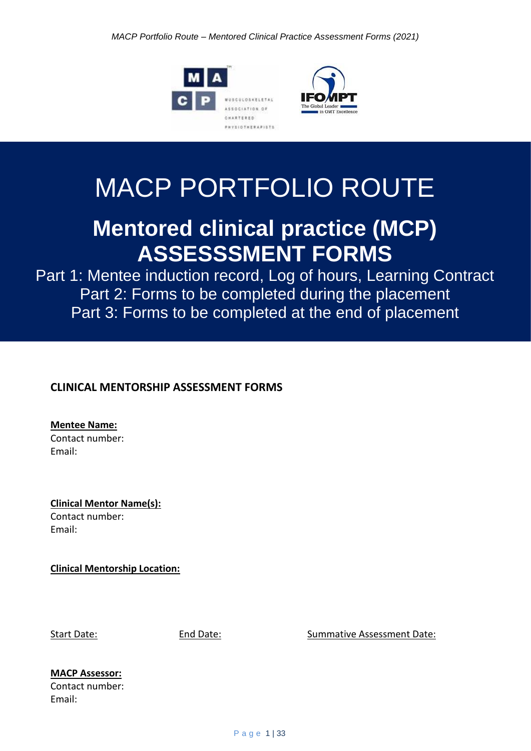



# MACP PORTFOLIO ROUTE

# **Mentored clinical practice (MCP) ASSESSSMENT FORMS**

Part 1: Mentee induction record, Log of hours, Learning Contract Part 2: Forms to be completed during the placement Part 3: Forms to be completed at the end of placement

## **CLINICAL MENTORSHIP ASSESSMENT FORMS**

**Mentee Name:** Contact number: Email:

**Clinical Mentor Name(s):** Contact number: Email:

**Clinical Mentorship Location:**

Start Date: The Start Date: End Date: Summative Assessment Date:

# **MACP Assessor:**

Contact number: Email: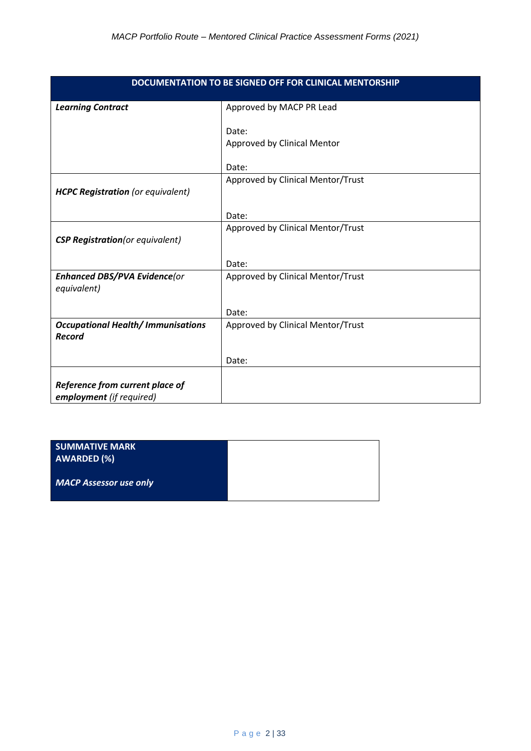| DOCUMENTATION TO BE SIGNED OFF FOR CLINICAL MENTORSHIP |                                   |  |
|--------------------------------------------------------|-----------------------------------|--|
| <b>Learning Contract</b>                               | Approved by MACP PR Lead          |  |
|                                                        |                                   |  |
|                                                        | Date:                             |  |
|                                                        | Approved by Clinical Mentor       |  |
|                                                        | Date:                             |  |
|                                                        | Approved by Clinical Mentor/Trust |  |
| <b>HCPC Registration</b> (or equivalent)               |                                   |  |
|                                                        |                                   |  |
|                                                        | Date:                             |  |
|                                                        | Approved by Clinical Mentor/Trust |  |
| <b>CSP Registration</b> (or equivalent)                |                                   |  |
|                                                        |                                   |  |
|                                                        | Date:                             |  |
| <b>Enhanced DBS/PVA Evidence(or</b>                    | Approved by Clinical Mentor/Trust |  |
| equivalent)                                            |                                   |  |
|                                                        | Date:                             |  |
| <b>Occupational Health/Immunisations</b>               | Approved by Clinical Mentor/Trust |  |
| <b>Record</b>                                          |                                   |  |
|                                                        |                                   |  |
|                                                        | Date:                             |  |
|                                                        |                                   |  |
| Reference from current place of                        |                                   |  |
| employment (if required)                               |                                   |  |

| <b>SUMMATIVE MARK</b><br><b>AWARDED (%)</b> |  |
|---------------------------------------------|--|
| <b>MACP Assessor use only</b>               |  |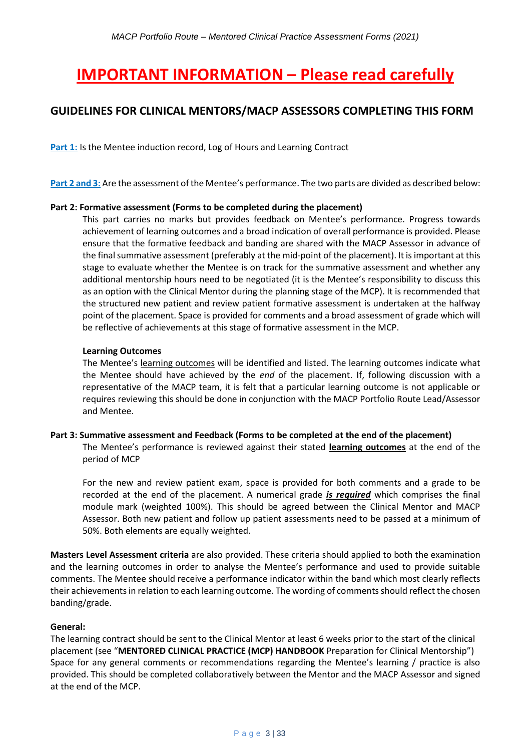# **IMPORTANT INFORMATION – Please read carefully**

### **GUIDELINES FOR CLINICAL MENTORS/MACP ASSESSORS COMPLETING THIS FORM**

**Part 1:** Is the Mentee induction record, Log of Hours and Learning Contract

**Part 2 and 3:** Are the assessment of the Mentee's performance. The two parts are divided as described below:

#### **Part 2: Formative assessment (Forms to be completed during the placement)**

This part carries no marks but provides feedback on Mentee's performance. Progress towards achievement of learning outcomes and a broad indication of overall performance is provided. Please ensure that the formative feedback and banding are shared with the MACP Assessor in advance of the final summative assessment (preferably at the mid-point of the placement). It is important at this stage to evaluate whether the Mentee is on track for the summative assessment and whether any additional mentorship hours need to be negotiated (it is the Mentee's responsibility to discuss this as an option with the Clinical Mentor during the planning stage of the MCP). It is recommended that the structured new patient and review patient formative assessment is undertaken at the halfway point of the placement. Space is provided for comments and a broad assessment of grade which will be reflective of achievements at this stage of formative assessment in the MCP.

#### **Learning Outcomes**

The Mentee's learning outcomes will be identified and listed. The learning outcomes indicate what the Mentee should have achieved by the *end* of the placement. If, following discussion with a representative of the MACP team, it is felt that a particular learning outcome is not applicable or requires reviewing this should be done in conjunction with the MACP Portfolio Route Lead/Assessor and Mentee.

#### **Part 3: Summative assessment and Feedback (Forms to be completed at the end of the placement)** The Mentee's performance is reviewed against their stated **learning outcomes** at the end of the period of MCP

For the new and review patient exam, space is provided for both comments and a grade to be recorded at the end of the placement. A numerical grade *is required* which comprises the final module mark (weighted 100%). This should be agreed between the Clinical Mentor and MACP Assessor. Both new patient and follow up patient assessments need to be passed at a minimum of 50%. Both elements are equally weighted.

**Masters Level Assessment criteria** are also provided. These criteria should applied to both the examination and the learning outcomes in order to analyse the Mentee's performance and used to provide suitable comments. The Mentee should receive a performance indicator within the band which most clearly reflects their achievements in relation to each learning outcome. The wording of comments should reflect the chosen banding/grade.

#### **General:**

The learning contract should be sent to the Clinical Mentor at least 6 weeks prior to the start of the clinical placement (see "**MENTORED CLINICAL PRACTICE (MCP) HANDBOOK** Preparation for Clinical Mentorship") Space for any general comments or recommendations regarding the Mentee's learning / practice is also provided. This should be completed collaboratively between the Mentor and the MACP Assessor and signed at the end of the MCP.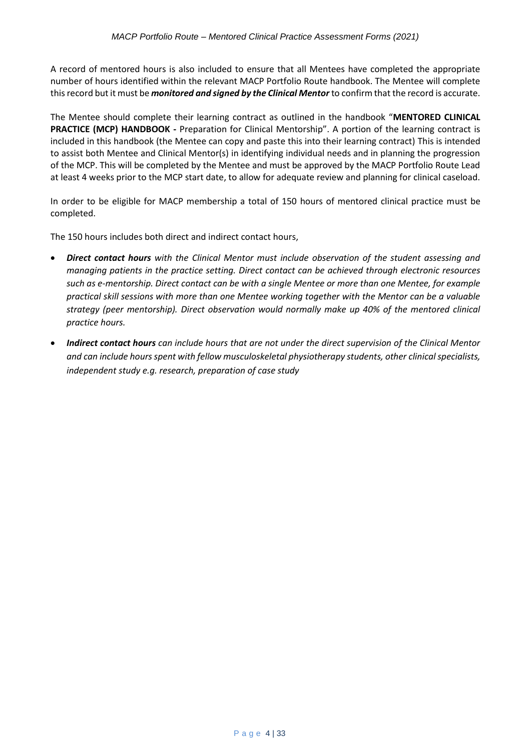A record of mentored hours is also included to ensure that all Mentees have completed the appropriate number of hours identified within the relevant MACP Portfolio Route handbook. The Mentee will complete this record but it must be *monitored and signed by the Clinical Mentor* to confirm that the record is accurate.

The Mentee should complete their learning contract as outlined in the handbook "**MENTORED CLINICAL PRACTICE (MCP) HANDBOOK -** Preparation for Clinical Mentorship". A portion of the learning contract is included in this handbook (the Mentee can copy and paste this into their learning contract) This is intended to assist both Mentee and Clinical Mentor(s) in identifying individual needs and in planning the progression of the MCP. This will be completed by the Mentee and must be approved by the MACP Portfolio Route Lead at least 4 weeks prior to the MCP start date, to allow for adequate review and planning for clinical caseload.

In order to be eligible for MACP membership a total of 150 hours of mentored clinical practice must be completed.

The 150 hours includes both direct and indirect contact hours,

- *Direct contact hours with the Clinical Mentor must include observation of the student assessing and managing patients in the practice setting. Direct contact can be achieved through electronic resources such as e-mentorship. Direct contact can be with a single Mentee or more than one Mentee, for example practical skill sessions with more than one Mentee working together with the Mentor can be a valuable strategy (peer mentorship). Direct observation would normally make up 40% of the mentored clinical practice hours.*
- *Indirect contact hours can include hours that are not under the direct supervision of the Clinical Mentor and can include hours spent with fellow musculoskeletal physiotherapy students, other clinical specialists, independent study e.g. research, preparation of case study*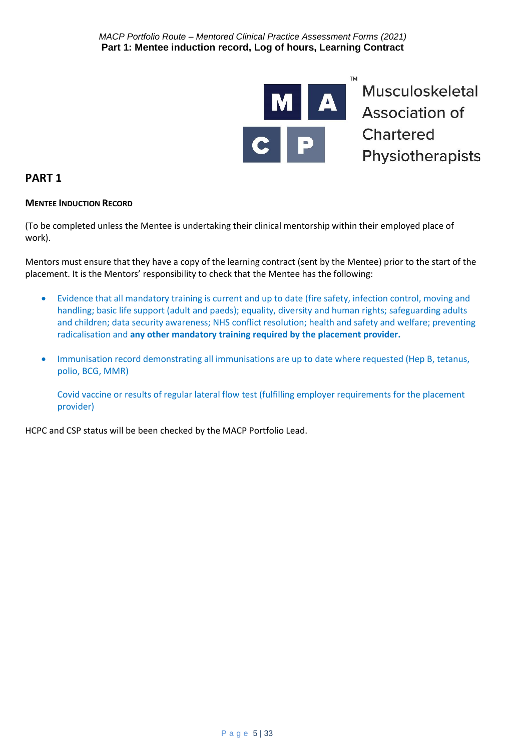

#### **PART 1**

#### **MENTEE INDUCTION RECORD**

(To be completed unless the Mentee is undertaking their clinical mentorship within their employed place of work).

Mentors must ensure that they have a copy of the learning contract (sent by the Mentee) prior to the start of the placement. It is the Mentors' responsibility to check that the Mentee has the following:

- Evidence that all mandatory training is current and up to date (fire safety, infection control, moving and handling; basic life support (adult and paeds); equality, diversity and human rights; safeguarding adults and children; data security awareness; NHS conflict resolution; health and safety and welfare; preventing radicalisation and **any other mandatory training required by the placement provider.**
- Immunisation record demonstrating all immunisations are up to date where requested (Hep B, tetanus, polio, BCG, MMR)

Covid vaccine or results of regular lateral flow test (fulfilling employer requirements for the placement provider)

HCPC and CSP status will be been checked by the MACP Portfolio Lead.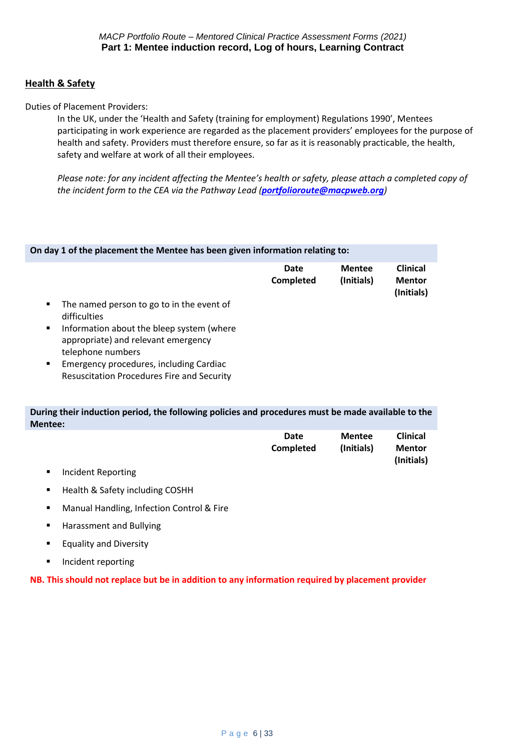#### **Health & Safety**

Duties of Placement Providers:

In the UK, under the 'Health and Safety (training for employment) Regulations 1990', Mentees participating in work experience are regarded as the placement providers' employees for the purpose of health and safety. Providers must therefore ensure, so far as it is reasonably practicable, the health, safety and welfare at work of all their employees.

*Please note: for any incident affecting the Mentee's health or safety, please attach a completed copy of the incident form to the CEA via the Pathway Lead ([portfolioroute@macpweb.org](mailto:portfolioroute@macpweb.org))*

| On day 1 of the placement the Mentee has been given information relating to:                               |                   |                             |                                                |
|------------------------------------------------------------------------------------------------------------|-------------------|-----------------------------|------------------------------------------------|
|                                                                                                            | Date<br>Completed | <b>Mentee</b><br>(Initials) | <b>Clinical</b><br><b>Mentor</b><br>(Initials) |
| The named person to go to in the event of<br>٠<br>difficulties                                             |                   |                             |                                                |
| Information about the bleep system (where<br>٠<br>appropriate) and relevant emergency<br>telephone numbers |                   |                             |                                                |
| Emergency procedures, including Cardiac<br>٠<br><b>Resuscitation Procedures Fire and Security</b>          |                   |                             |                                                |

**During their induction period, the following policies and procedures must be made available to the Mentee:**

| Date      | Mentee     | <b>Clinical</b> |
|-----------|------------|-----------------|
| Completed | (Initials) | <b>Mentor</b>   |
|           |            | (Initials)      |

- Incident Reporting
- Health & Safety including COSHH
- Manual Handling, Infection Control & Fire
- Harassment and Bullying
- Equality and Diversity
- Incident reporting

**NB. This should not replace but be in addition to any information required by placement provider**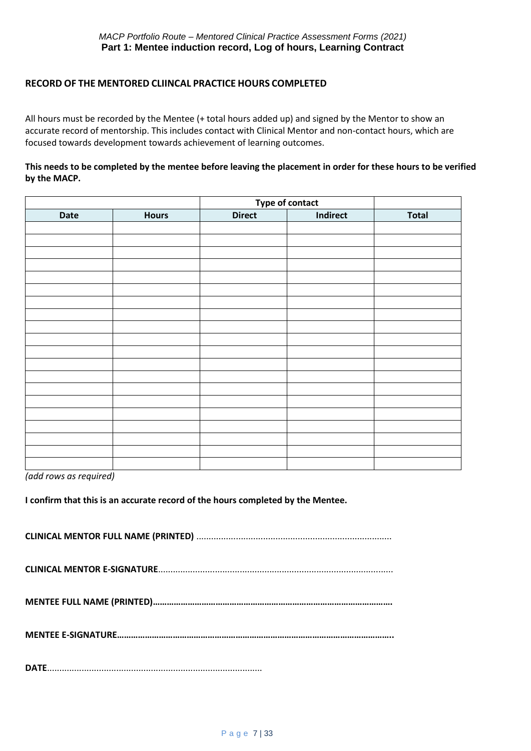#### **RECORD OF THE MENTORED CLIINCAL PRACTICE HOURS COMPLETED**

All hours must be recorded by the Mentee (+ total hours added up) and signed by the Mentor to show an accurate record of mentorship. This includes contact with Clinical Mentor and non-contact hours, which are focused towards development towards achievement of learning outcomes.

#### **This needs to be completed by the mentee before leaving the placement in order for these hours to be verified by the MACP.**

|      |              | Type of contact |          |              |
|------|--------------|-----------------|----------|--------------|
| Date | <b>Hours</b> | <b>Direct</b>   | Indirect | <b>Total</b> |
|      |              |                 |          |              |
|      |              |                 |          |              |
|      |              |                 |          |              |
|      |              |                 |          |              |
|      |              |                 |          |              |
|      |              |                 |          |              |
|      |              |                 |          |              |
|      |              |                 |          |              |
|      |              |                 |          |              |
|      |              |                 |          |              |
|      |              |                 |          |              |
|      |              |                 |          |              |
|      |              |                 |          |              |
|      |              |                 |          |              |
|      |              |                 |          |              |
|      |              |                 |          |              |
|      |              |                 |          |              |
|      |              |                 |          |              |
|      |              |                 |          |              |
|      |              |                 |          |              |

*(add rows as required)*

**I confirm that this is an accurate record of the hours completed by the Mentee.**

|--|

**CLINICAL MENTOR E-SIGNATURE**...............................................................................................

**MENTEE FULL NAME (PRINTED)………………………………………………………………………………………….**

**MENTEE E-SIGNATURE………………………………………………………………………………………………………..**

**DATE**.......................................................................................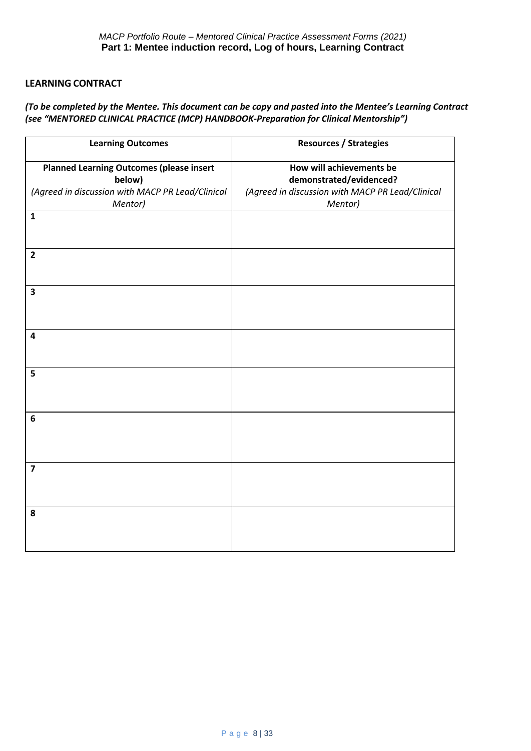#### **LEARNING CONTRACT**

#### *(To be completed by the Mentee. This document can be copy and pasted into the Mentee's Learning Contract (see "MENTORED CLINICAL PRACTICE (MCP) HANDBOOK-Preparation for Clinical Mentorship")*

| <b>Learning Outcomes</b>                                                                                                 | <b>Resources / Strategies</b>                                                                                      |
|--------------------------------------------------------------------------------------------------------------------------|--------------------------------------------------------------------------------------------------------------------|
| <b>Planned Learning Outcomes (please insert</b><br>below)<br>(Agreed in discussion with MACP PR Lead/Clinical<br>Mentor) | How will achievements be<br>demonstrated/evidenced?<br>(Agreed in discussion with MACP PR Lead/Clinical<br>Mentor) |
| $\mathbf{1}$                                                                                                             |                                                                                                                    |
| $\overline{2}$                                                                                                           |                                                                                                                    |
| $\overline{\mathbf{3}}$                                                                                                  |                                                                                                                    |
| $\overline{\mathbf{4}}$                                                                                                  |                                                                                                                    |
| 5                                                                                                                        |                                                                                                                    |
| 6                                                                                                                        |                                                                                                                    |
| $\overline{\mathbf{z}}$                                                                                                  |                                                                                                                    |
| 8                                                                                                                        |                                                                                                                    |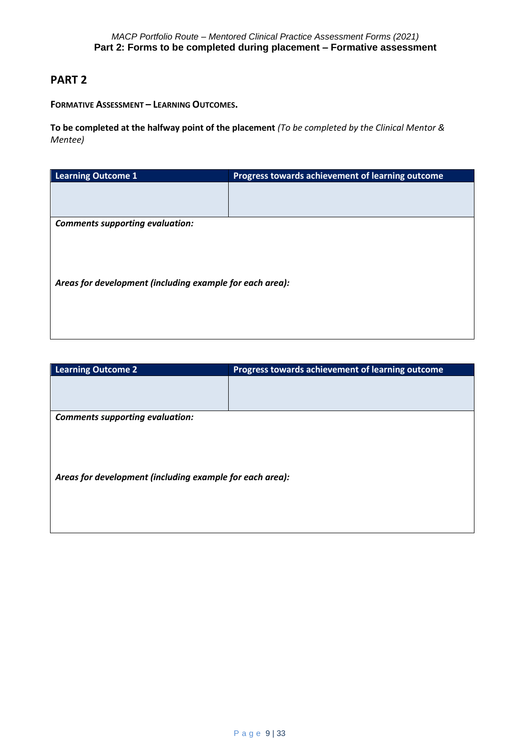#### **PART 2**

**FORMATIVE ASSESSMENT – LEARNING OUTCOMES.**

**To be completed at the halfway point of the placement** *(To be completed by the Clinical Mentor & Mentee)*

| <b>Learning Outcome 1</b>                                | Progress towards achievement of learning outcome |  |
|----------------------------------------------------------|--------------------------------------------------|--|
|                                                          |                                                  |  |
|                                                          |                                                  |  |
|                                                          |                                                  |  |
| <b>Comments supporting evaluation:</b>                   |                                                  |  |
|                                                          |                                                  |  |
|                                                          |                                                  |  |
|                                                          |                                                  |  |
|                                                          |                                                  |  |
| Areas for development (including example for each area): |                                                  |  |
|                                                          |                                                  |  |
|                                                          |                                                  |  |
|                                                          |                                                  |  |
|                                                          |                                                  |  |
|                                                          |                                                  |  |

| <b>Learning Outcome 2</b>                                | Progress towards achievement of learning outcome |  |
|----------------------------------------------------------|--------------------------------------------------|--|
|                                                          |                                                  |  |
|                                                          |                                                  |  |
|                                                          |                                                  |  |
| <b>Comments supporting evaluation:</b>                   |                                                  |  |
|                                                          |                                                  |  |
|                                                          |                                                  |  |
|                                                          |                                                  |  |
|                                                          |                                                  |  |
| Areas for development (including example for each area): |                                                  |  |
|                                                          |                                                  |  |
|                                                          |                                                  |  |
|                                                          |                                                  |  |
|                                                          |                                                  |  |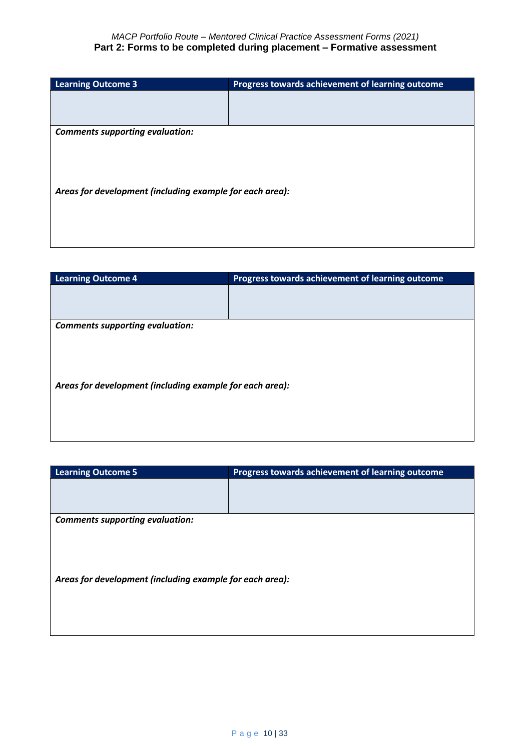| <b>Learning Outcome 3</b>                                | Progress towards achievement of learning outcome |  |
|----------------------------------------------------------|--------------------------------------------------|--|
|                                                          |                                                  |  |
|                                                          |                                                  |  |
| <b>Comments supporting evaluation:</b>                   |                                                  |  |
|                                                          |                                                  |  |
|                                                          |                                                  |  |
|                                                          |                                                  |  |
|                                                          |                                                  |  |
| Areas for development (including example for each area): |                                                  |  |
|                                                          |                                                  |  |
|                                                          |                                                  |  |
|                                                          |                                                  |  |
|                                                          |                                                  |  |

| <b>Learning Outcome 4</b>                                | Progress towards achievement of learning outcome |  |
|----------------------------------------------------------|--------------------------------------------------|--|
|                                                          |                                                  |  |
|                                                          |                                                  |  |
|                                                          |                                                  |  |
| <b>Comments supporting evaluation:</b>                   |                                                  |  |
|                                                          |                                                  |  |
|                                                          |                                                  |  |
|                                                          |                                                  |  |
|                                                          |                                                  |  |
| Areas for development (including example for each area): |                                                  |  |
|                                                          |                                                  |  |
|                                                          |                                                  |  |
|                                                          |                                                  |  |
|                                                          |                                                  |  |

| <b>Learning Outcome 5</b>                                | Progress towards achievement of learning outcome |  |
|----------------------------------------------------------|--------------------------------------------------|--|
|                                                          |                                                  |  |
|                                                          |                                                  |  |
| <b>Comments supporting evaluation:</b>                   |                                                  |  |
|                                                          |                                                  |  |
|                                                          |                                                  |  |
| Areas for development (including example for each area): |                                                  |  |
|                                                          |                                                  |  |
|                                                          |                                                  |  |
|                                                          |                                                  |  |
|                                                          |                                                  |  |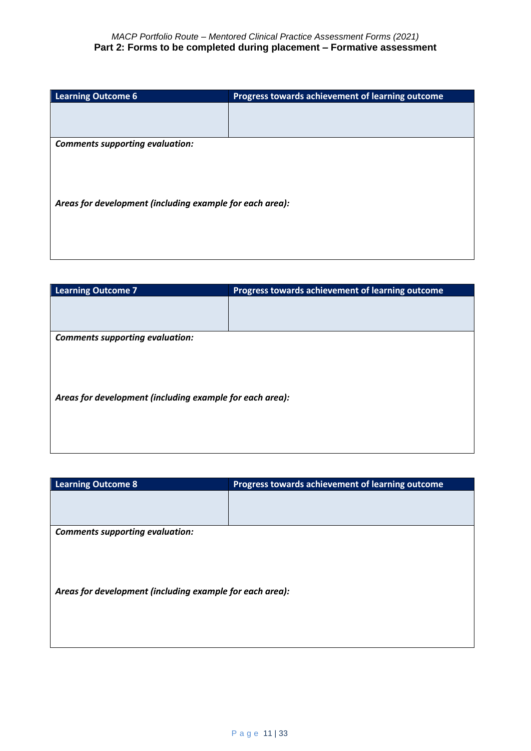| <b>Learning Outcome 6</b>                                | Progress towards achievement of learning outcome |  |
|----------------------------------------------------------|--------------------------------------------------|--|
|                                                          |                                                  |  |
|                                                          |                                                  |  |
|                                                          |                                                  |  |
| <b>Comments supporting evaluation:</b>                   |                                                  |  |
|                                                          |                                                  |  |
|                                                          |                                                  |  |
|                                                          |                                                  |  |
|                                                          |                                                  |  |
| Areas for development (including example for each area): |                                                  |  |
|                                                          |                                                  |  |
|                                                          |                                                  |  |
|                                                          |                                                  |  |
|                                                          |                                                  |  |

| <b>Learning Outcome 7</b>                                | Progress towards achievement of learning outcome |  |
|----------------------------------------------------------|--------------------------------------------------|--|
|                                                          |                                                  |  |
|                                                          |                                                  |  |
|                                                          |                                                  |  |
| <b>Comments supporting evaluation:</b>                   |                                                  |  |
|                                                          |                                                  |  |
|                                                          |                                                  |  |
|                                                          |                                                  |  |
|                                                          |                                                  |  |
| Areas for development (including example for each area): |                                                  |  |
|                                                          |                                                  |  |
|                                                          |                                                  |  |
|                                                          |                                                  |  |
|                                                          |                                                  |  |

| <b>Learning Outcome 8</b>                                | Progress towards achievement of learning outcome |  |  |  |
|----------------------------------------------------------|--------------------------------------------------|--|--|--|
|                                                          |                                                  |  |  |  |
|                                                          |                                                  |  |  |  |
| <b>Comments supporting evaluation:</b>                   |                                                  |  |  |  |
|                                                          |                                                  |  |  |  |
|                                                          |                                                  |  |  |  |
|                                                          |                                                  |  |  |  |
| Areas for development (including example for each area): |                                                  |  |  |  |
|                                                          |                                                  |  |  |  |
|                                                          |                                                  |  |  |  |
|                                                          |                                                  |  |  |  |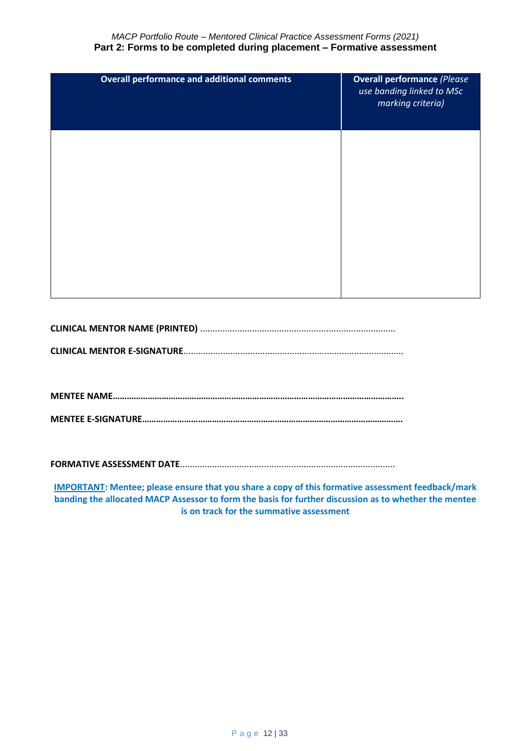*MACP Portfolio Route – Mentored Clinical Practice Assessment Forms (2021)* **Part 2: Forms to be completed during placement – Formative assessment**

| <b>Overall performance and additional comments</b> | <b>Overall performance (Please</b><br>use banding linked to MSc<br>marking criteria) |
|----------------------------------------------------|--------------------------------------------------------------------------------------|
|                                                    |                                                                                      |
|                                                    |                                                                                      |
|                                                    |                                                                                      |

**CLINICAL MENTOR NAME (PRINTED)** ...............................................................................

**CLINICAL MENTOR E-SIGNATURE**.........................................................................................

**MENTEE NAME……………………………………………………………………………………………………………..**

**MENTEE E-SIGNATURE………………………………………………………………………………………………….**

**FORMATIVE ASSESSMENT DATE**.......................................................................................

**IMPORTANT: Mentee; please ensure that you share a copy of this formative assessment feedback/mark banding the allocated MACP Assessor to form the basis for further discussion as to whether the mentee is on track for the summative assessment**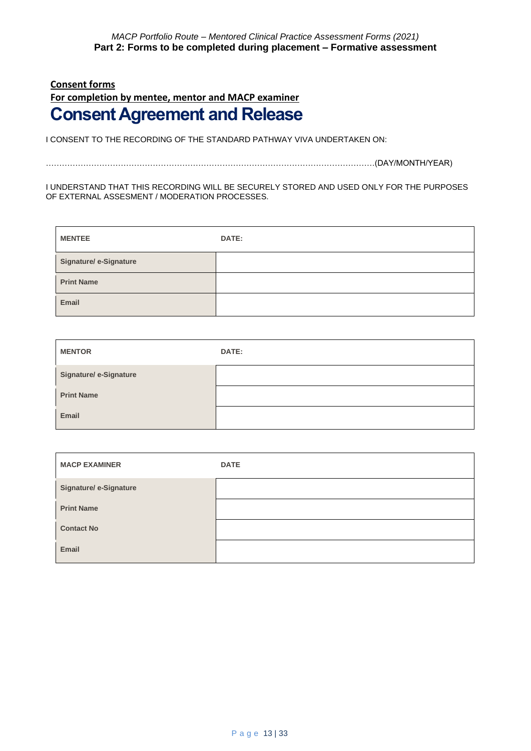# **Consent forms For completion by mentee, mentor and MACP examiner Consent Agreement and Release**

I CONSENT TO THE RECORDING OF THE STANDARD PATHWAY VIVA UNDERTAKEN ON:

……………………………………………………………………………………………………………(DAY/MONTH/YEAR)

#### I UNDERSTAND THAT THIS RECORDING WILL BE SECURELY STORED AND USED ONLY FOR THE PURPOSES OF EXTERNAL ASSESMENT / MODERATION PROCESSES.

| <b>MENTEE</b>                 | <b>DATE:</b> |
|-------------------------------|--------------|
| <b>Signature/ e-Signature</b> |              |
| <b>Print Name</b>             |              |
| Email                         |              |

| <b>MENTOR</b>                 | DATE: |
|-------------------------------|-------|
| <b>Signature/ e-Signature</b> |       |
| <b>Print Name</b>             |       |
| Email                         |       |

| <b>MACP EXAMINER</b>          | <b>DATE</b> |
|-------------------------------|-------------|
| <b>Signature/ e-Signature</b> |             |
| <b>Print Name</b>             |             |
| <b>Contact No</b>             |             |
| Email                         |             |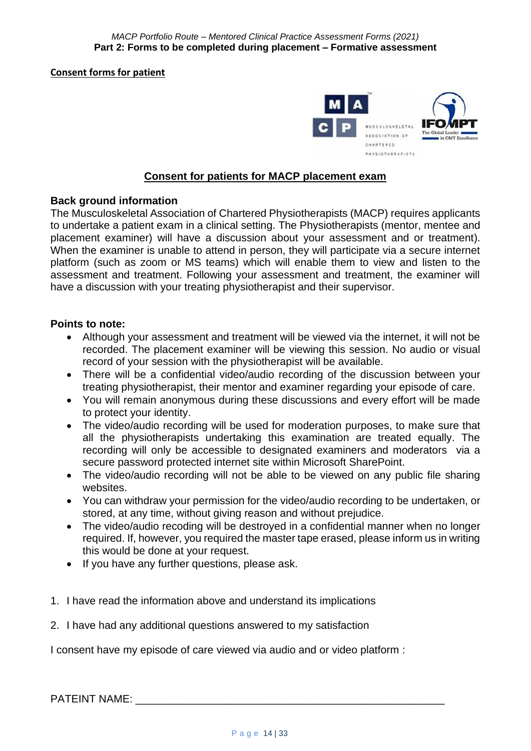**Consent forms for patient** 



#### **Consent for patients for MACP placement exam**

#### **Back ground information**

The Musculoskeletal Association of Chartered Physiotherapists (MACP) requires applicants to undertake a patient exam in a clinical setting. The Physiotherapists (mentor, mentee and placement examiner) will have a discussion about your assessment and or treatment). When the examiner is unable to attend in person, they will participate via a secure internet platform (such as zoom or MS teams) which will enable them to view and listen to the assessment and treatment. Following your assessment and treatment, the examiner will have a discussion with your treating physiotherapist and their supervisor.

#### **Points to note:**

- Although your assessment and treatment will be viewed via the internet, it will not be recorded. The placement examiner will be viewing this session. No audio or visual record of your session with the physiotherapist will be available.
- There will be a confidential video/audio recording of the discussion between your treating physiotherapist, their mentor and examiner regarding your episode of care.
- You will remain anonymous during these discussions and every effort will be made to protect your identity.
- The video/audio recording will be used for moderation purposes, to make sure that all the physiotherapists undertaking this examination are treated equally. The recording will only be accessible to designated examiners and moderators via a secure password protected internet site within Microsoft SharePoint.
- The video/audio recording will not be able to be viewed on any public file sharing websites.
- You can withdraw your permission for the video/audio recording to be undertaken, or stored, at any time, without giving reason and without prejudice.
- The video/audio recoding will be destroyed in a confidential manner when no longer required. If, however, you required the master tape erased, please inform us in writing this would be done at your request.
- If you have any further questions, please ask.
- 1. I have read the information above and understand its implications
- 2. I have had any additional questions answered to my satisfaction

I consent have my episode of care viewed via audio and or video platform :

PATEINT NAME: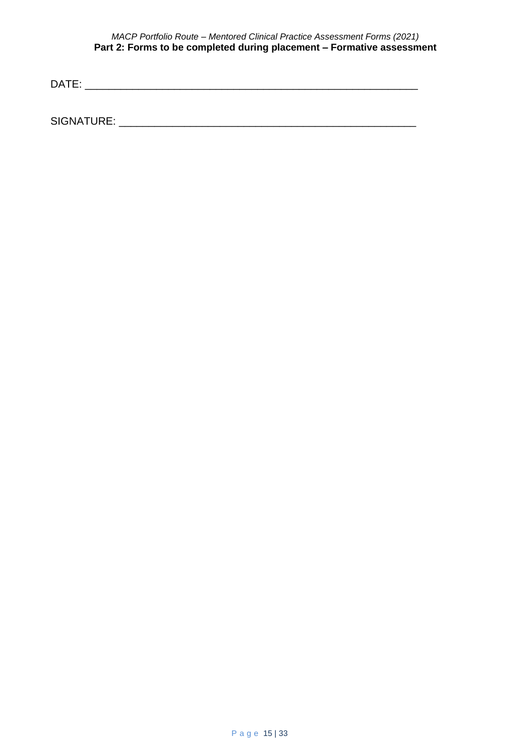#### *MACP Portfolio Route – Mentored Clinical Practice Assessment Forms (2021)* **Part 2: Forms to be completed during placement – Formative assessment**

DATE: \_\_\_\_\_\_\_\_\_\_\_\_\_\_\_\_\_\_\_\_\_\_\_\_\_\_\_\_\_\_\_\_\_\_\_\_\_\_\_\_\_\_\_\_\_\_\_\_\_\_\_\_\_\_\_\_

SIGNATURE: \_\_\_\_\_\_\_\_\_\_\_\_\_\_\_\_\_\_\_\_\_\_\_\_\_\_\_\_\_\_\_\_\_\_\_\_\_\_\_\_\_\_\_\_\_\_\_\_\_\_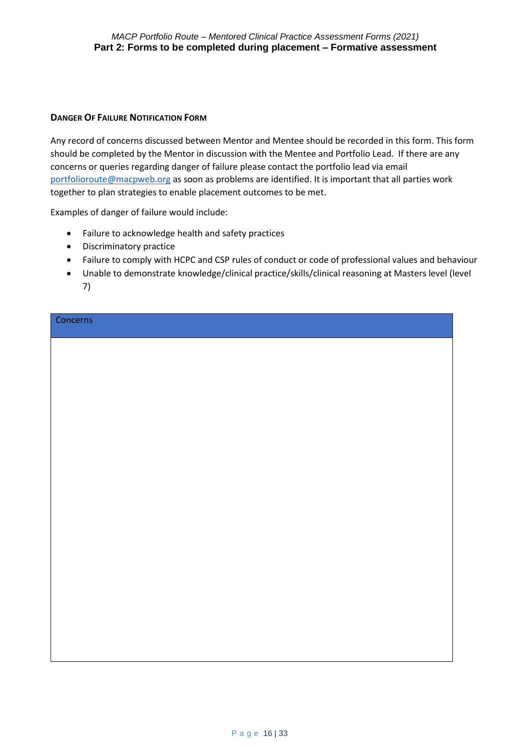#### **DANGER OF FAILURE NOTIFICATION FORM**

Any record of concerns discussed between Mentor and Mentee should be recorded in this form. This form should be completed by the Mentor in discussion with the Mentee and Portfolio Lead. If there are any concerns or queries regarding danger of failure please contact the portfolio lead via email [portfolioroute@macpweb.org](mailto:portfolioroute@macpweb.org) as soon as problems are identified. It is important that all parties work together to plan strategies to enable placement outcomes to be met.

Examples of danger of failure would include:

- Failure to acknowledge health and safety practices
- Discriminatory practice
- Failure to comply with HCPC and CSP rules of conduct or code of professional values and behaviour
- Unable to demonstrate knowledge/clinical practice/skills/clinical reasoning at Masters level (level 7)

**Concerns**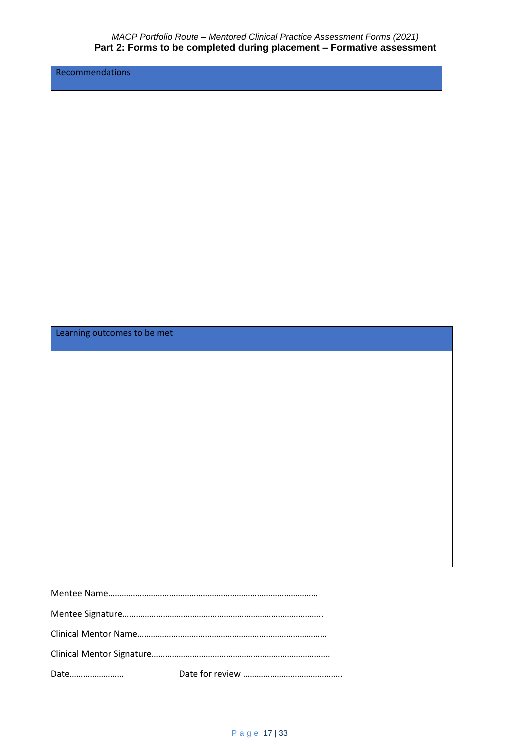Recommendations

Learning outcomes to be met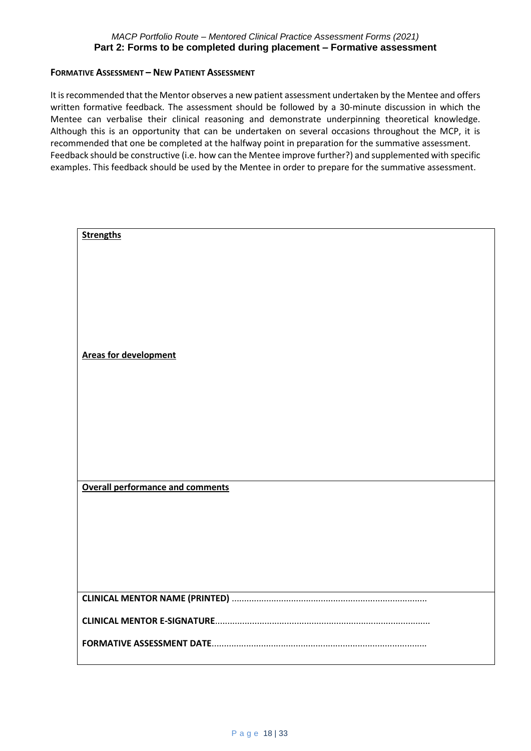#### **FORMATIVE ASSESSMENT – NEW PATIENT ASSESSMENT**

It is recommended that the Mentor observes a new patient assessment undertaken by the Mentee and offers written formative feedback. The assessment should be followed by a 30-minute discussion in which the Mentee can verbalise their clinical reasoning and demonstrate underpinning theoretical knowledge. Although this is an opportunity that can be undertaken on several occasions throughout the MCP, it is recommended that one be completed at the halfway point in preparation for the summative assessment. Feedback should be constructive (i.e. how can the Mentee improve further?) and supplemented with specific examples. This feedback should be used by the Mentee in order to prepare for the summative assessment.

| <b>Strengths</b>                        |
|-----------------------------------------|
|                                         |
|                                         |
|                                         |
|                                         |
|                                         |
|                                         |
| <b>Areas for development</b>            |
|                                         |
|                                         |
|                                         |
|                                         |
|                                         |
|                                         |
|                                         |
| <b>Overall performance and comments</b> |
|                                         |
|                                         |
|                                         |
|                                         |
|                                         |
|                                         |
|                                         |
|                                         |
| FORMATIVE ASSESSMENT DATE               |
|                                         |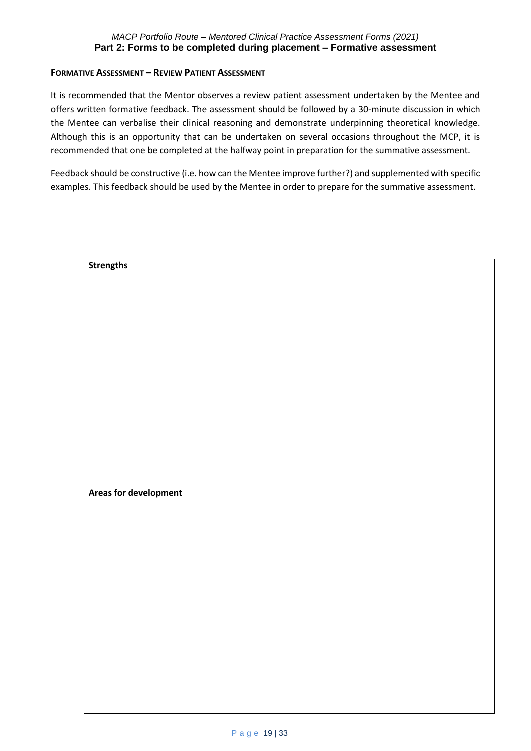#### **FORMATIVE ASSESSMENT – REVIEW PATIENT ASSESSMENT**

It is recommended that the Mentor observes a review patient assessment undertaken by the Mentee and offers written formative feedback. The assessment should be followed by a 30-minute discussion in which the Mentee can verbalise their clinical reasoning and demonstrate underpinning theoretical knowledge. Although this is an opportunity that can be undertaken on several occasions throughout the MCP, it is recommended that one be completed at the halfway point in preparation for the summative assessment.

Feedback should be constructive (i.e. how can the Mentee improve further?) and supplemented with specific examples. This feedback should be used by the Mentee in order to prepare for the summative assessment.

| <b>Strengths</b>             |  |  |
|------------------------------|--|--|
|                              |  |  |
|                              |  |  |
|                              |  |  |
|                              |  |  |
|                              |  |  |
|                              |  |  |
|                              |  |  |
|                              |  |  |
|                              |  |  |
|                              |  |  |
|                              |  |  |
|                              |  |  |
|                              |  |  |
|                              |  |  |
|                              |  |  |
|                              |  |  |
|                              |  |  |
|                              |  |  |
|                              |  |  |
|                              |  |  |
|                              |  |  |
|                              |  |  |
|                              |  |  |
|                              |  |  |
|                              |  |  |
|                              |  |  |
|                              |  |  |
|                              |  |  |
|                              |  |  |
|                              |  |  |
| <b>Areas for development</b> |  |  |
|                              |  |  |
|                              |  |  |
|                              |  |  |
|                              |  |  |
|                              |  |  |
|                              |  |  |
|                              |  |  |
|                              |  |  |
|                              |  |  |
|                              |  |  |
|                              |  |  |
|                              |  |  |
|                              |  |  |
|                              |  |  |
|                              |  |  |
|                              |  |  |
|                              |  |  |
|                              |  |  |
|                              |  |  |
|                              |  |  |
|                              |  |  |
|                              |  |  |
|                              |  |  |
|                              |  |  |
|                              |  |  |
|                              |  |  |
|                              |  |  |
|                              |  |  |
|                              |  |  |
|                              |  |  |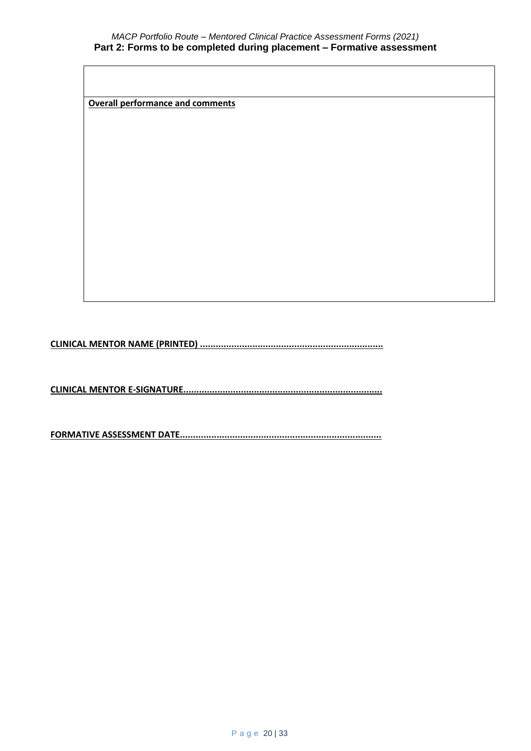**Overall performance and comments**

**CLINICAL MENTOR NAME (PRINTED) ......................................................................**

**CLINICAL MENTOR E-SIGNATURE............................................................................**

**FORMATIVE ASSESSMENT DATE.............................................................................**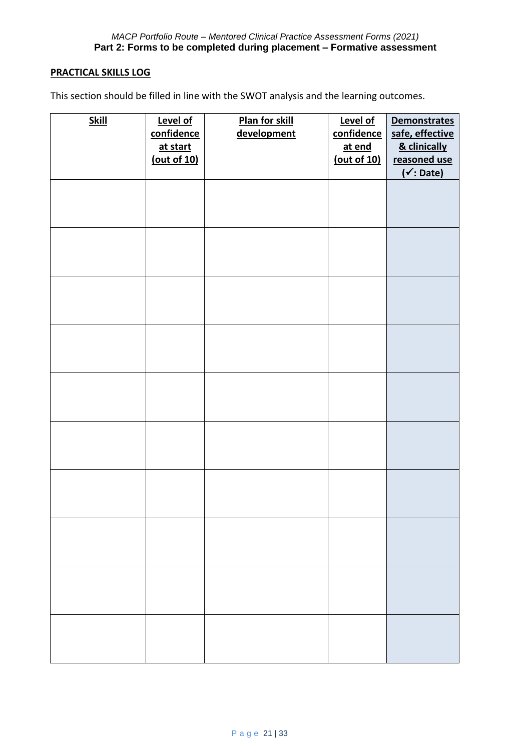#### **PRACTICAL SKILLS LOG**

This section should be filled in line with the SWOT analysis and the learning outcomes.

| <b>Skill</b> | Level of<br>confidence<br>at start<br>(out of 10) | Plan for skill<br>development | Level of<br>confidence<br>at end<br>(out of 10) | <b>Demonstrates</b><br>safe, effective<br>& clinically<br>reasoned use<br>( <i>∴</i> Date) |
|--------------|---------------------------------------------------|-------------------------------|-------------------------------------------------|--------------------------------------------------------------------------------------------|
|              |                                                   |                               |                                                 |                                                                                            |
|              |                                                   |                               |                                                 |                                                                                            |
|              |                                                   |                               |                                                 |                                                                                            |
|              |                                                   |                               |                                                 |                                                                                            |
|              |                                                   |                               |                                                 |                                                                                            |
|              |                                                   |                               |                                                 |                                                                                            |
|              |                                                   |                               |                                                 |                                                                                            |
|              |                                                   |                               |                                                 |                                                                                            |
|              |                                                   |                               |                                                 |                                                                                            |
|              |                                                   |                               |                                                 |                                                                                            |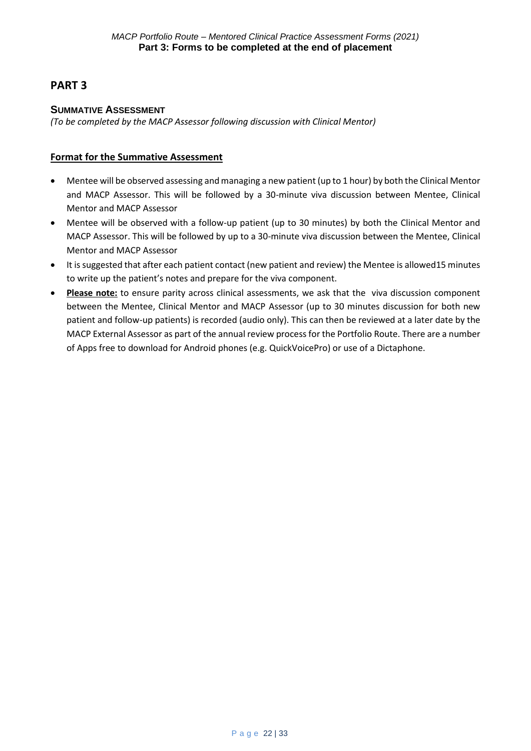## **PART 3**

#### **SUMMATIVE ASSESSMENT**

*(To be completed by the MACP Assessor following discussion with Clinical Mentor)*

#### **Format for the Summative Assessment**

- Mentee will be observed assessing and managing a new patient (up to 1 hour) by both the Clinical Mentor and MACP Assessor. This will be followed by a 30-minute viva discussion between Mentee, Clinical Mentor and MACP Assessor
- Mentee will be observed with a follow-up patient (up to 30 minutes) by both the Clinical Mentor and MACP Assessor. This will be followed by up to a 30-minute viva discussion between the Mentee, Clinical Mentor and MACP Assessor
- It is suggested that after each patient contact (new patient and review) the Mentee is allowed15 minutes to write up the patient's notes and prepare for the viva component.
- **Please note:** to ensure parity across clinical assessments, we ask that the viva discussion component between the Mentee, Clinical Mentor and MACP Assessor (up to 30 minutes discussion for both new patient and follow-up patients) is recorded (audio only). This can then be reviewed at a later date by the MACP External Assessor as part of the annual review process for the Portfolio Route. There are a number of Apps free to download for Android phones (e.g. QuickVoicePro) or use of a Dictaphone.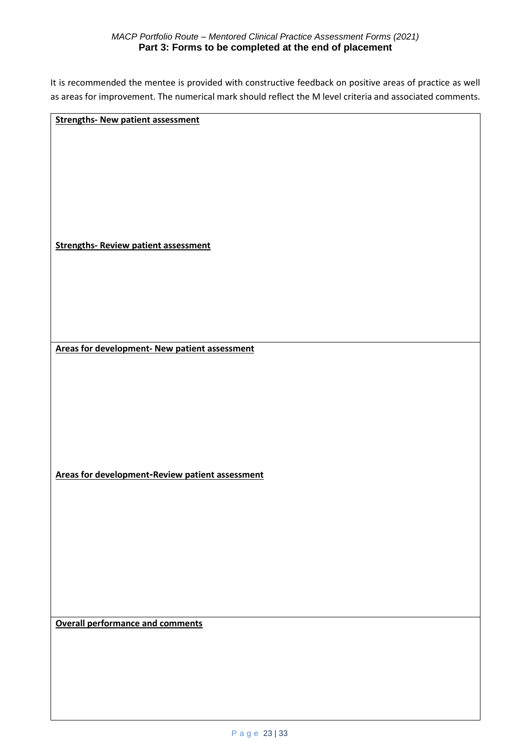#### *MACP Portfolio Route – Mentored Clinical Practice Assessment Forms (2021)* **Part 3: Forms to be completed at the end of placement**

It is recommended the mentee is provided with constructive feedback on positive areas of practice as well as areas for improvement. The numerical mark should reflect the M level criteria and associated comments.

**Strengths- New patient assessment** 

**Strengths- Review patient assessment** 

**Areas for development- New patient assessment**

**Areas for development-Review patient assessment** 

**Overall performance and comments**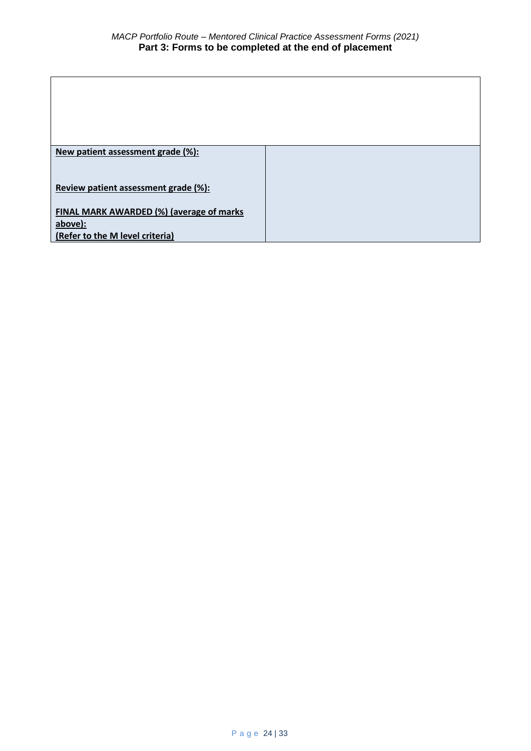| New patient assessment grade (%):        |  |
|------------------------------------------|--|
|                                          |  |
|                                          |  |
|                                          |  |
| Review patient assessment grade (%):     |  |
|                                          |  |
| FINAL MARK AWARDED (%) (average of marks |  |
|                                          |  |
| above):                                  |  |
| (Refer to the M level criteria)          |  |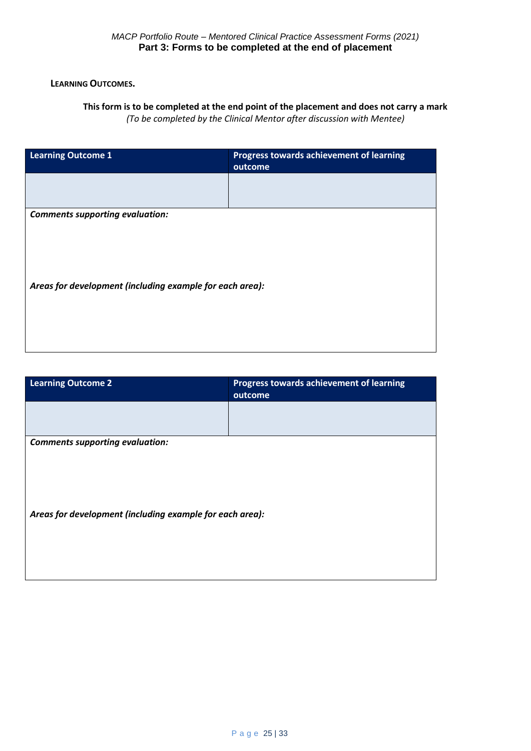#### **LEARNING OUTCOMES.**

#### **This form is to be completed at the end point of the placement and does not carry a mark**  *(To be completed by the Clinical Mentor after discussion with Mentee)*

**Learning Outcome 1 Progress towards achievement of learning outcome** *Comments supporting evaluation: Areas for development (including example for each area):*

| <b>Learning Outcome 2</b>                                | Progress towards achievement of learning<br>outcome |  |  |
|----------------------------------------------------------|-----------------------------------------------------|--|--|
|                                                          |                                                     |  |  |
| <b>Comments supporting evaluation:</b>                   |                                                     |  |  |
|                                                          |                                                     |  |  |
| Areas for development (including example for each area): |                                                     |  |  |
|                                                          |                                                     |  |  |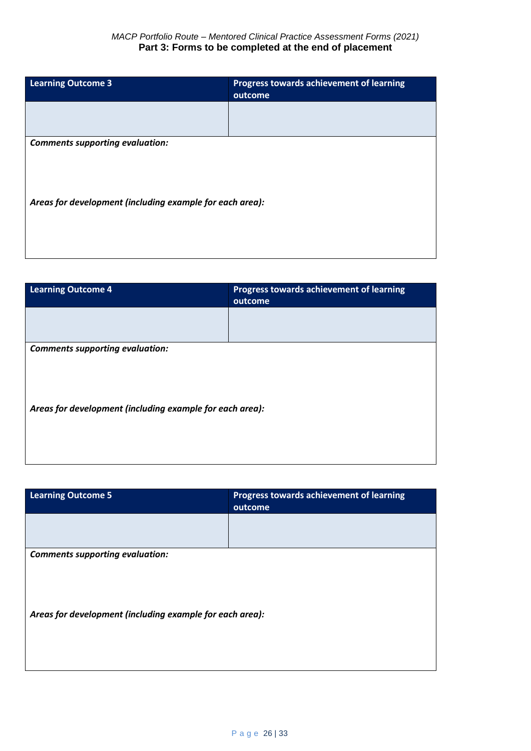| <b>Learning Outcome 3</b>                                | Progress towards achievement of learning<br>outcome |  |  |
|----------------------------------------------------------|-----------------------------------------------------|--|--|
|                                                          |                                                     |  |  |
| <b>Comments supporting evaluation:</b>                   |                                                     |  |  |
| Areas for development (including example for each area): |                                                     |  |  |

| <b>Learning Outcome 4</b>                                | <b>Progress towards achievement of learning</b><br>outcome |  |  |
|----------------------------------------------------------|------------------------------------------------------------|--|--|
|                                                          |                                                            |  |  |
| <b>Comments supporting evaluation:</b>                   |                                                            |  |  |
|                                                          |                                                            |  |  |
|                                                          |                                                            |  |  |
| Areas for development (including example for each area): |                                                            |  |  |
|                                                          |                                                            |  |  |
|                                                          |                                                            |  |  |

| <b>Learning Outcome 5</b>                                | Progress towards achievement of learning<br>outcome |  |  |
|----------------------------------------------------------|-----------------------------------------------------|--|--|
|                                                          |                                                     |  |  |
| <b>Comments supporting evaluation:</b>                   |                                                     |  |  |
|                                                          |                                                     |  |  |
|                                                          |                                                     |  |  |
| Areas for development (including example for each area): |                                                     |  |  |
|                                                          |                                                     |  |  |
|                                                          |                                                     |  |  |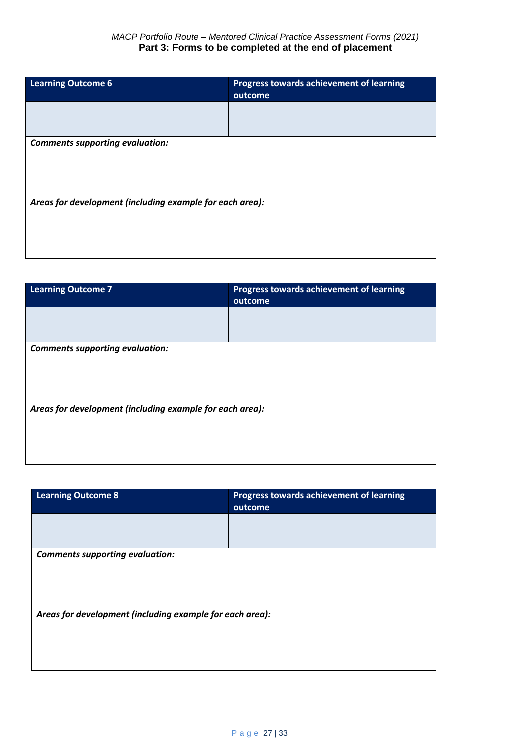| <b>Learning Outcome 6</b>                                | Progress towards achievement of learning<br>outcome |  |  |
|----------------------------------------------------------|-----------------------------------------------------|--|--|
|                                                          |                                                     |  |  |
| <b>Comments supporting evaluation:</b>                   |                                                     |  |  |
| Areas for development (including example for each area): |                                                     |  |  |

| <b>Learning Outcome 7</b>                                | Progress towards achievement of learning<br>outcome |  |  |
|----------------------------------------------------------|-----------------------------------------------------|--|--|
|                                                          |                                                     |  |  |
| <b>Comments supporting evaluation:</b>                   |                                                     |  |  |
|                                                          |                                                     |  |  |
|                                                          |                                                     |  |  |
| Areas for development (including example for each area): |                                                     |  |  |
|                                                          |                                                     |  |  |
|                                                          |                                                     |  |  |

| <b>Learning Outcome 8</b>                                | <b>Progress towards achievement of learning</b><br>outcome |  |  |
|----------------------------------------------------------|------------------------------------------------------------|--|--|
|                                                          |                                                            |  |  |
| <b>Comments supporting evaluation:</b>                   |                                                            |  |  |
|                                                          |                                                            |  |  |
|                                                          |                                                            |  |  |
| Areas for development (including example for each area): |                                                            |  |  |
|                                                          |                                                            |  |  |
|                                                          |                                                            |  |  |
|                                                          |                                                            |  |  |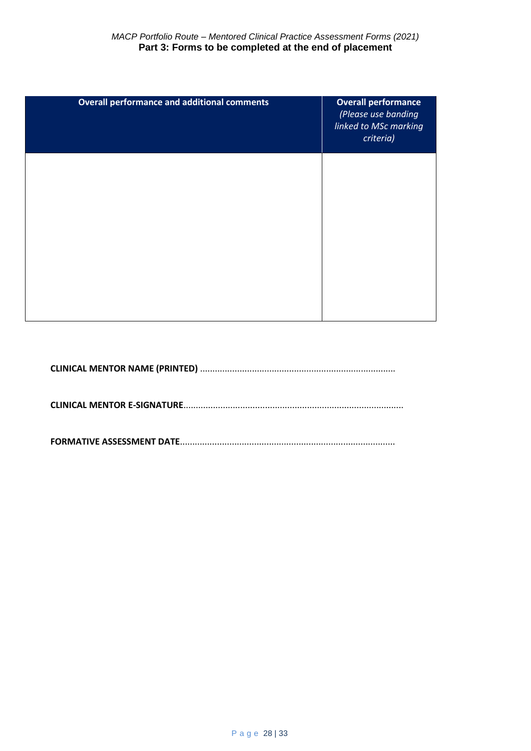| <b>Overall performance and additional comments</b> | <b>Overall performance</b><br>(Please use banding<br>linked to MSc marking<br>criteria) |
|----------------------------------------------------|-----------------------------------------------------------------------------------------|
|                                                    |                                                                                         |
|                                                    |                                                                                         |
|                                                    |                                                                                         |

**CLINICAL MENTOR NAME (PRINTED)** ...............................................................................

**CLINICAL MENTOR E-SIGNATURE**.........................................................................................

**FORMATIVE ASSESSMENT DATE**.......................................................................................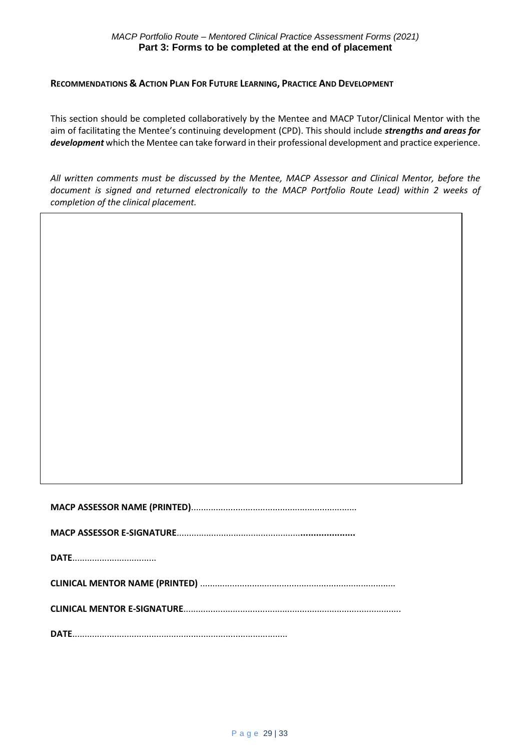#### **RECOMMENDATIONS & ACTION PLAN FOR FUTURE LEARNING, PRACTICE AND DEVELOPMENT**

This section should be completed collaboratively by the Mentee and MACP Tutor/Clinical Mentor with the aim of facilitating the Mentee's continuing development (CPD). This should include *strengths and areas for development* which the Mentee can take forward in their professional development and practice experience.

*All written comments must be discussed by the Mentee, MACP Assessor and Clinical Mentor, before the document is signed and returned electronically to the MACP Portfolio Route Lead) within 2 weeks of completion of the clinical placement.*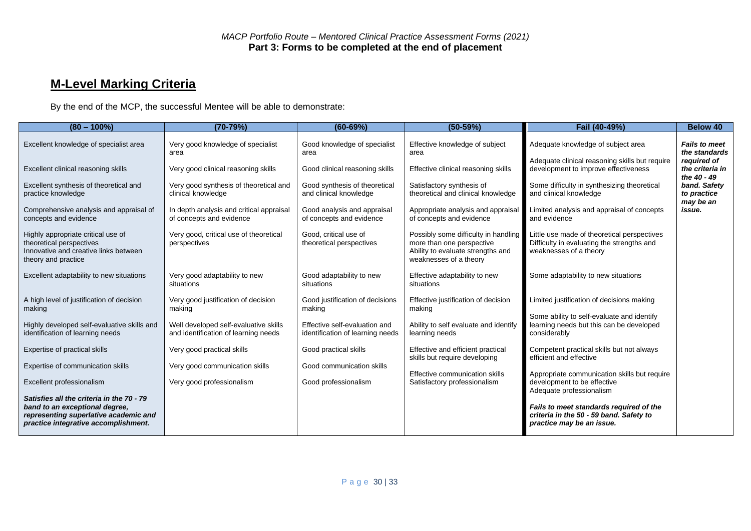# **M-Level Marking Criteria**

By the end of the MCP, the successful Mentee will be able to demonstrate:

| $(80 - 100\%)$                                                                                                                                               | $(70-79%)$                                                                    | $(60 - 69%)$                                                      | $(50-59%)$                                                                                                                       | Fail (40-49%)                                                                                                       | <b>Below 40</b>                                      |
|--------------------------------------------------------------------------------------------------------------------------------------------------------------|-------------------------------------------------------------------------------|-------------------------------------------------------------------|----------------------------------------------------------------------------------------------------------------------------------|---------------------------------------------------------------------------------------------------------------------|------------------------------------------------------|
| Excellent knowledge of specialist area                                                                                                                       | Very good knowledge of specialist<br>area                                     | Good knowledge of specialist<br>area                              | Effective knowledge of subject<br>area                                                                                           | Adequate knowledge of subject area<br>Adequate clinical reasoning skills but require                                | <b>Fails to meet</b><br>the standards<br>reauired of |
| Excellent clinical reasoning skills                                                                                                                          | Very good clinical reasoning skills                                           | Good clinical reasoning skills                                    | Effective clinical reasoning skills                                                                                              | development to improve effectiveness                                                                                | the criteria in<br>the 40 - 49                       |
| Excellent synthesis of theoretical and<br>practice knowledge                                                                                                 | Very good synthesis of theoretical and<br>clinical knowledge                  | Good synthesis of theoretical<br>and clinical knowledge           | Satisfactory synthesis of<br>theoretical and clinical knowledge                                                                  | Some difficulty in synthesizing theoretical<br>and clinical knowledge                                               | band. Safety<br>to practice<br>may be an             |
| Comprehensive analysis and appraisal of<br>concepts and evidence                                                                                             | In depth analysis and critical appraisal<br>of concepts and evidence          | Good analysis and appraisal<br>of concepts and evidence           | Appropriate analysis and appraisal<br>of concepts and evidence                                                                   | Limited analysis and appraisal of concepts<br>and evidence                                                          | issue.                                               |
| Highly appropriate critical use of<br>theoretical perspectives<br>Innovative and creative links between<br>theory and practice                               | Very good, critical use of theoretical<br>perspectives                        | Good, critical use of<br>theoretical perspectives                 | Possibly some difficulty in handling<br>more than one perspective<br>Ability to evaluate strengths and<br>weaknesses of a theory | Little use made of theoretical perspectives<br>Difficulty in evaluating the strengths and<br>weaknesses of a theory |                                                      |
| Excellent adaptability to new situations                                                                                                                     | Very good adaptability to new<br>situations                                   | Good adaptability to new<br>situations                            | Effective adaptability to new<br>situations                                                                                      | Some adaptability to new situations                                                                                 |                                                      |
| A high level of justification of decision<br>making                                                                                                          | Very good justification of decision<br>making                                 | Good justification of decisions<br>making                         | Effective justification of decision<br>making                                                                                    | Limited justification of decisions making                                                                           |                                                      |
| Highly developed self-evaluative skills and<br>identification of learning needs                                                                              | Well developed self-evaluative skills<br>and identification of learning needs | Effective self-evaluation and<br>identification of learning needs | Ability to self evaluate and identify<br>learning needs                                                                          | Some ability to self-evaluate and identify<br>learning needs but this can be developed<br>considerably              |                                                      |
| Expertise of practical skills                                                                                                                                | Very good practical skills                                                    | Good practical skills                                             | Effective and efficient practical<br>skills but require developing                                                               | Competent practical skills but not always<br>efficient and effective                                                |                                                      |
| Expertise of communication skills                                                                                                                            | Very good communication skills                                                | Good communication skills                                         |                                                                                                                                  |                                                                                                                     |                                                      |
| Excellent professionalism                                                                                                                                    | Very good professionalism                                                     | Good professionalism                                              | Effective communication skills<br>Satisfactory professionalism                                                                   | Appropriate communication skills but require<br>development to be effective<br>Adequate professionalism             |                                                      |
| Satisfies all the criteria in the 70 - 79<br>band to an exceptional degree,<br>representing superlative academic and<br>practice integrative accomplishment. |                                                                               |                                                                   |                                                                                                                                  | Fails to meet standards required of the<br>criteria in the 50 - 59 band. Safety to<br>practice may be an issue.     |                                                      |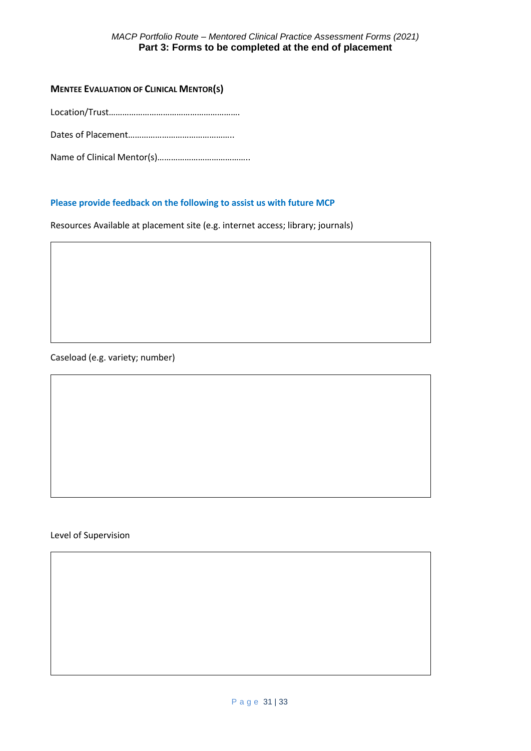#### *MACP Portfolio Route – Mentored Clinical Practice Assessment Forms (2021)* **Part 3: Forms to be completed at the end of placement**

#### **MENTEE EVALUATION OF CLINICAL MENTOR(S)**

Location/Trust………………………………………………….

Dates of Placement………………………………………..

Name of Clinical Mentor(s)…………………………………..

#### **Please provide feedback on the following to assist us with future MCP**

Resources Available at placement site (e.g. internet access; library; journals)

Caseload (e.g. variety; number)

#### Level of Supervision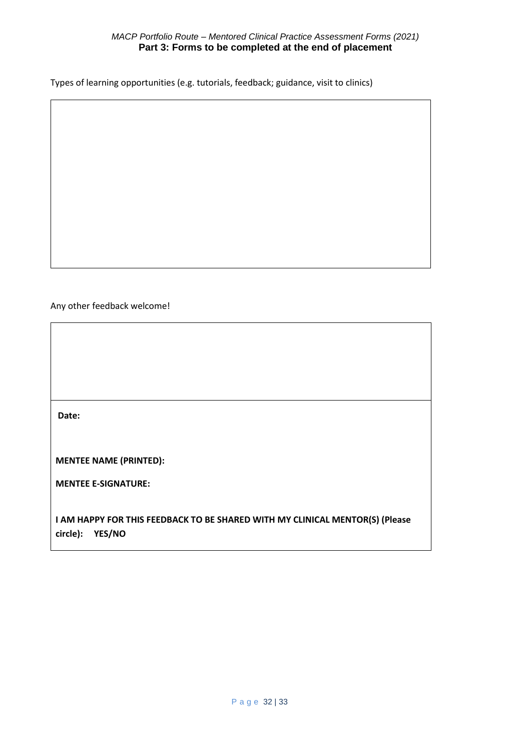#### *MACP Portfolio Route – Mentored Clinical Practice Assessment Forms (2021)* **Part 3: Forms to be completed at the end of placement**

Types of learning opportunities (e.g. tutorials, feedback; guidance, visit to clinics)

#### Any other feedback welcome!

**Date:**

**MENTEE NAME (PRINTED):**

**MENTEE E-SIGNATURE:**

**I AM HAPPY FOR THIS FEEDBACK TO BE SHARED WITH MY CLINICAL MENTOR(S) (Please circle): YES/NO**